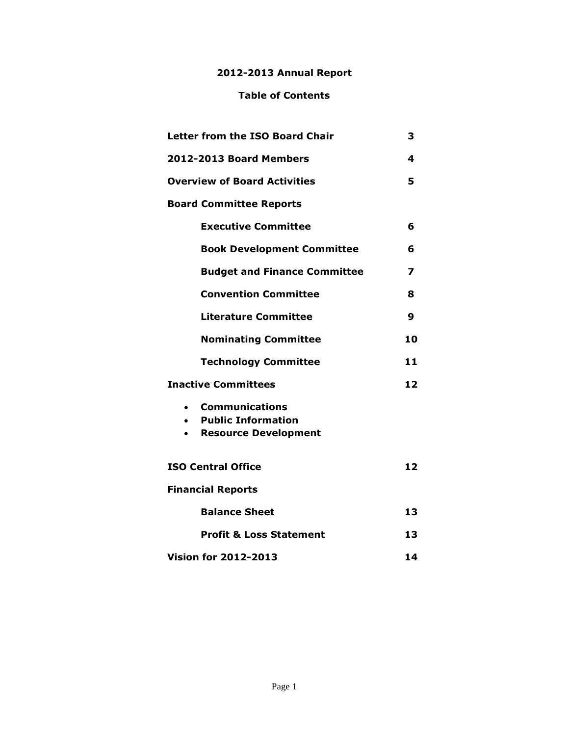### **2012-2013 Annual Report**

### **Table of Contents**

| <b>Letter from the ISO Board Chair</b> |                                                                                   | 3  |
|----------------------------------------|-----------------------------------------------------------------------------------|----|
| 2012-2013 Board Members                |                                                                                   | 4  |
| <b>Overview of Board Activities</b>    |                                                                                   | 5  |
| <b>Board Committee Reports</b>         |                                                                                   |    |
|                                        | <b>Executive Committee</b>                                                        | 6  |
|                                        | <b>Book Development Committee</b>                                                 | 6  |
|                                        | <b>Budget and Finance Committee</b>                                               | 7  |
|                                        | <b>Convention Committee</b>                                                       | 8  |
|                                        | <b>Literature Committee</b>                                                       | 9  |
|                                        | <b>Nominating Committee</b>                                                       | 10 |
|                                        | <b>Technology Committee</b>                                                       | 11 |
| <b>Inactive Committees</b>             |                                                                                   | 12 |
| $\bullet$                              | <b>Communications</b><br><b>Public Information</b><br><b>Resource Development</b> |    |
| <b>ISO Central Office</b>              |                                                                                   | 12 |
| <b>Financial Reports</b>               |                                                                                   |    |
|                                        | <b>Balance Sheet</b>                                                              | 13 |
|                                        | <b>Profit &amp; Loss Statement</b>                                                | 13 |
| <b>Vision for 2012-2013</b>            |                                                                                   | 14 |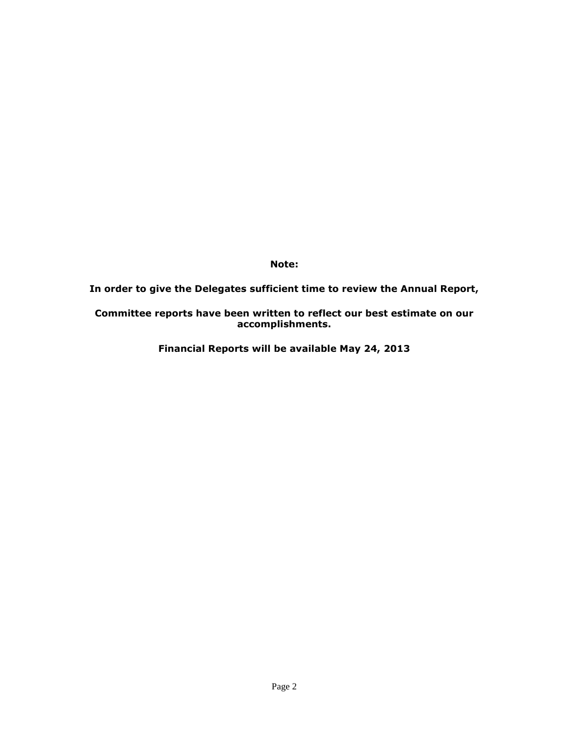**Note:** 

**In order to give the Delegates sufficient time to review the Annual Report,** 

#### **Committee reports have been written to reflect our best estimate on our accomplishments.**

**Financial Reports will be available May 24, 2013**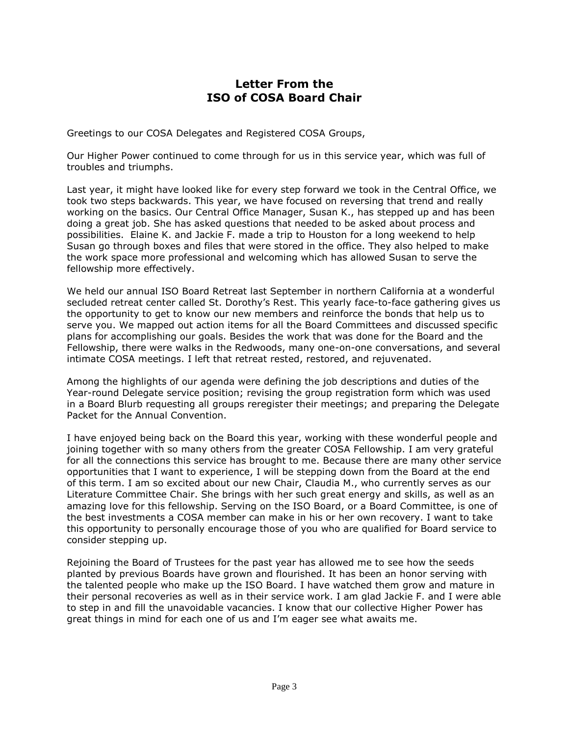### **Letter From the ISO of COSA Board Chair**

Greetings to our COSA Delegates and Registered COSA Groups,

Our Higher Power continued to come through for us in this service year, which was full of troubles and triumphs.

Last year, it might have looked like for every step forward we took in the Central Office, we took two steps backwards. This year, we have focused on reversing that trend and really working on the basics. Our Central Office Manager, Susan K., has stepped up and has been doing a great job. She has asked questions that needed to be asked about process and possibilities. Elaine K. and Jackie F. made a trip to Houston for a long weekend to help Susan go through boxes and files that were stored in the office. They also helped to make the work space more professional and welcoming which has allowed Susan to serve the fellowship more effectively.

We held our annual ISO Board Retreat last September in northern California at a wonderful secluded retreat center called St. Dorothy's Rest. This yearly face-to-face gathering gives us the opportunity to get to know our new members and reinforce the bonds that help us to serve you. We mapped out action items for all the Board Committees and discussed specific plans for accomplishing our goals. Besides the work that was done for the Board and the Fellowship, there were walks in the Redwoods, many one-on-one conversations, and several intimate COSA meetings. I left that retreat rested, restored, and rejuvenated.

Among the highlights of our agenda were defining the job descriptions and duties of the Year-round Delegate service position; revising the group registration form which was used in a Board Blurb requesting all groups reregister their meetings; and preparing the Delegate Packet for the Annual Convention.

I have enjoyed being back on the Board this year, working with these wonderful people and joining together with so many others from the greater COSA Fellowship. I am very grateful for all the connections this service has brought to me. Because there are many other service opportunities that I want to experience, I will be stepping down from the Board at the end of this term. I am so excited about our new Chair, Claudia M., who currently serves as our Literature Committee Chair. She brings with her such great energy and skills, as well as an amazing love for this fellowship. Serving on the ISO Board, or a Board Committee, is one of the best investments a COSA member can make in his or her own recovery. I want to take this opportunity to personally encourage those of you who are qualified for Board service to consider stepping up.

Rejoining the Board of Trustees for the past year has allowed me to see how the seeds planted by previous Boards have grown and flourished. It has been an honor serving with the talented people who make up the ISO Board. I have watched them grow and mature in their personal recoveries as well as in their service work. I am glad Jackie F. and I were able to step in and fill the unavoidable vacancies. I know that our collective Higher Power has great things in mind for each one of us and I'm eager see what awaits me.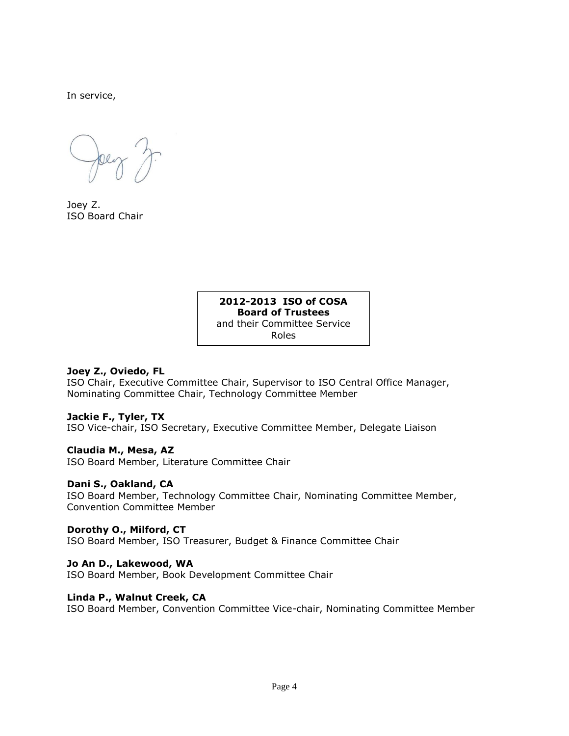In service,

Joey Z. ISO Board Chair

#### **2012-2013 ISO of COSA Board of Trustees** and their Committee Service Roles

#### **Joey Z., Oviedo, FL**

ISO Chair, Executive Committee Chair, Supervisor to ISO Central Office Manager, Nominating Committee Chair, Technology Committee Member

#### **Jackie F., Tyler, TX**

ISO Vice-chair, ISO Secretary, Executive Committee Member, Delegate Liaison

#### **Claudia M., Mesa, AZ**

ISO Board Member, Literature Committee Chair

#### **Dani S., Oakland, CA**

ISO Board Member, Technology Committee Chair, Nominating Committee Member, Convention Committee Member

#### **Dorothy O., Milford, CT**

ISO Board Member, ISO Treasurer, Budget & Finance Committee Chair

#### **Jo An D., Lakewood, WA**

ISO Board Member, Book Development Committee Chair

#### **Linda P., Walnut Creek, CA**

ISO Board Member, Convention Committee Vice-chair, Nominating Committee Member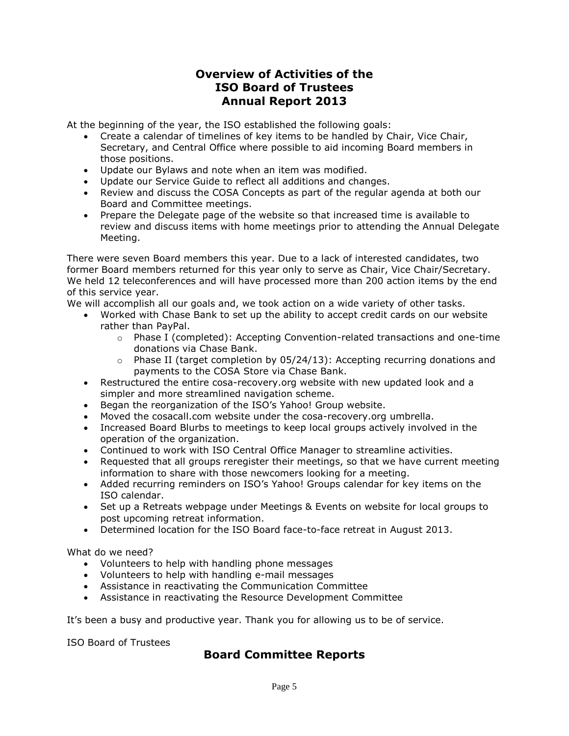## **Overview of Activities of the ISO Board of Trustees Annual Report 2013**

At the beginning of the year, the ISO established the following goals:

- Create a calendar of timelines of key items to be handled by Chair, Vice Chair, Secretary, and Central Office where possible to aid incoming Board members in those positions.
- Update our Bylaws and note when an item was modified.
- Update our Service Guide to reflect all additions and changes.
- Review and discuss the COSA Concepts as part of the regular agenda at both our Board and Committee meetings.
- Prepare the Delegate page of the website so that increased time is available to review and discuss items with home meetings prior to attending the Annual Delegate Meeting.

There were seven Board members this year. Due to a lack of interested candidates, two former Board members returned for this year only to serve as Chair, Vice Chair/Secretary. We held 12 teleconferences and will have processed more than 200 action items by the end of this service year.

We will accomplish all our goals and, we took action on a wide variety of other tasks.

- Worked with Chase Bank to set up the ability to accept credit cards on our website rather than PayPal.
	- o Phase I (completed): Accepting Convention-related transactions and one-time donations via Chase Bank.
	- $\circ$  Phase II (target completion by 05/24/13): Accepting recurring donations and payments to the COSA Store via Chase Bank.
- Restructured the entire cosa-recovery.org website with new updated look and a simpler and more streamlined navigation scheme.
- Began the reorganization of the ISO's Yahoo! Group website.
- Moved the cosacall.com website under the cosa-recovery.org umbrella.
- Increased Board Blurbs to meetings to keep local groups actively involved in the operation of the organization.
- Continued to work with ISO Central Office Manager to streamline activities.
- Requested that all groups reregister their meetings, so that we have current meeting information to share with those newcomers looking for a meeting.
- Added recurring reminders on ISO's Yahoo! Groups calendar for key items on the ISO calendar.
- Set up a Retreats webpage under Meetings & Events on website for local groups to post upcoming retreat information.
- Determined location for the ISO Board face-to-face retreat in August 2013.

What do we need?

- Volunteers to help with handling phone messages
- $\bullet$  Volunteers to help with handling e-mail messages
- Assistance in reactivating the Communication Committee
- Assistance in reactivating the Resource Development Committee

It's been a busy and productive year. Thank you for allowing us to be of service.

ISO Board of Trustees

## **Board Committee Reports**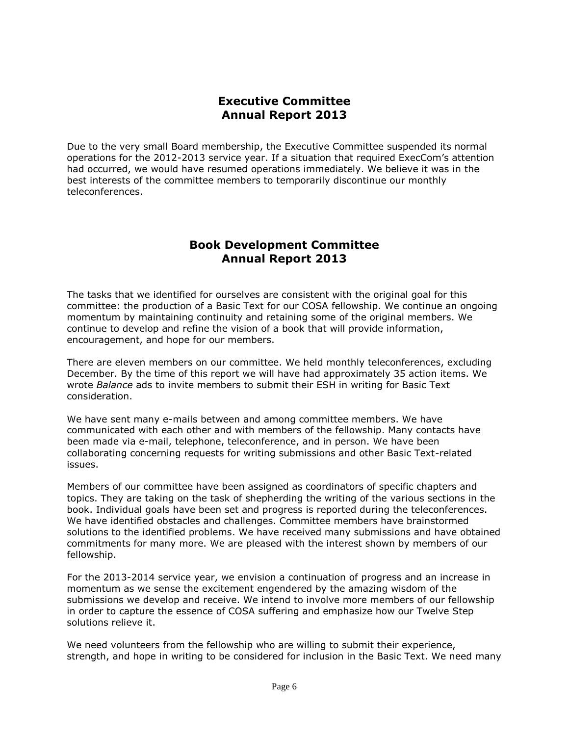# **Executive Committee Annual Report 2013**

Due to the very small Board membership, the Executive Committee suspended its normal operations for the 2012-2013 service year. If a situation that required ExecCom's attention had occurred, we would have resumed operations immediately. We believe it was in the best interests of the committee members to temporarily discontinue our monthly teleconferences.

### **Book Development Committee Annual Report 2013**

The tasks that we identified for ourselves are consistent with the original goal for this committee: the production of a Basic Text for our COSA fellowship. We continue an ongoing momentum by maintaining continuity and retaining some of the original members. We continue to develop and refine the vision of a book that will provide information, encouragement, and hope for our members.

There are eleven members on our committee. We held monthly teleconferences, excluding December. By the time of this report we will have had approximately 35 action items. We wrote *Balance* ads to invite members to submit their ESH in writing for Basic Text consideration.

We have sent many e-mails between and among committee members. We have communicated with each other and with members of the fellowship. Many contacts have been made via e-mail, telephone, teleconference, and in person. We have been collaborating concerning requests for writing submissions and other Basic Text-related issues.

Members of our committee have been assigned as coordinators of specific chapters and topics. They are taking on the task of shepherding the writing of the various sections in the book. Individual goals have been set and progress is reported during the teleconferences. We have identified obstacles and challenges. Committee members have brainstormed solutions to the identified problems. We have received many submissions and have obtained commitments for many more. We are pleased with the interest shown by members of our fellowship.

For the 2013-2014 service year, we envision a continuation of progress and an increase in momentum as we sense the excitement engendered by the amazing wisdom of the submissions we develop and receive. We intend to involve more members of our fellowship in order to capture the essence of COSA suffering and emphasize how our Twelve Step solutions relieve it.

We need volunteers from the fellowship who are willing to submit their experience, strength, and hope in writing to be considered for inclusion in the Basic Text. We need many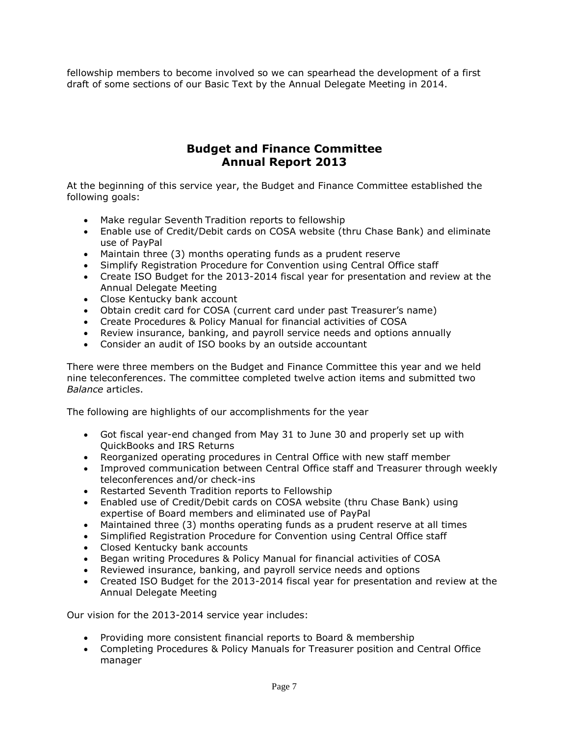fellowship members to become involved so we can spearhead the development of a first draft of some sections of our Basic Text by the Annual Delegate Meeting in 2014.

# **Budget and Finance Committee Annual Report 2013**

At the beginning of this service year, the Budget and Finance Committee established the following goals:

- Make regular Seventh Tradition reports to fellowship
- Enable use of Credit/Debit cards on COSA website (thru Chase Bank) and eliminate use of PayPal
- Maintain three (3) months operating funds as a prudent reserve
- Simplify Registration Procedure for Convention using Central Office staff
- Create ISO Budget for the 2013-2014 fiscal year for presentation and review at the Annual Delegate Meeting
- Close Kentucky bank account
- Obtain credit card for COSA (current card under past Treasurer's name)
- Create Procedures & Policy Manual for financial activities of COSA
- Review insurance, banking, and payroll service needs and options annually
- Consider an audit of ISO books by an outside accountant

There were three members on the Budget and Finance Committee this year and we held nine teleconferences. The committee completed twelve action items and submitted two *Balance* articles.

The following are highlights of our accomplishments for the year

- Got fiscal year-end changed from May 31 to June 30 and properly set up with QuickBooks and IRS Returns
- Reorganized operating procedures in Central Office with new staff member
- Improved communication between Central Office staff and Treasurer through weekly teleconferences and/or check-ins
- Restarted Seventh Tradition reports to Fellowship
- Enabled use of Credit/Debit cards on COSA website (thru Chase Bank) using expertise of Board members and eliminated use of PayPal
- Maintained three (3) months operating funds as a prudent reserve at all times
- Simplified Registration Procedure for Convention using Central Office staff
- Closed Kentucky bank accounts
- Began writing Procedures & Policy Manual for financial activities of COSA
- Reviewed insurance, banking, and payroll service needs and options
- Created ISO Budget for the 2013-2014 fiscal year for presentation and review at the Annual Delegate Meeting

Our vision for the 2013-2014 service year includes:

- Providing more consistent financial reports to Board & membership
- Completing Procedures & Policy Manuals for Treasurer position and Central Office manager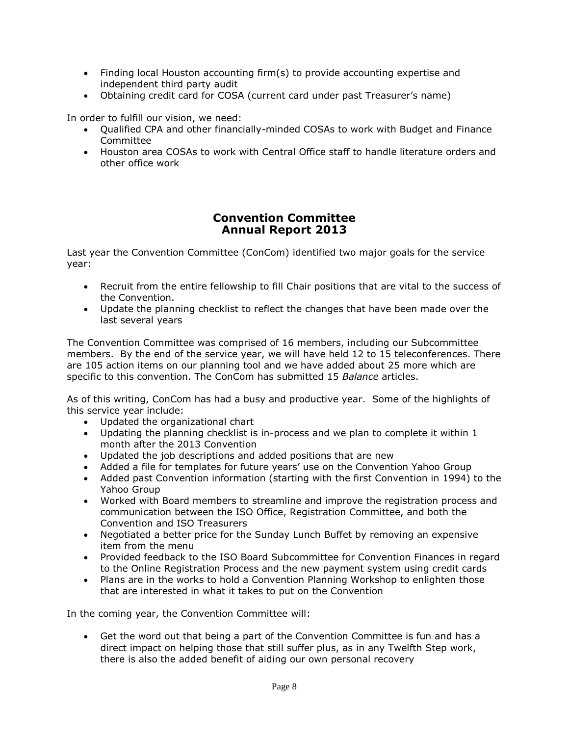- Finding local Houston accounting firm(s) to provide accounting expertise and independent third party audit
- Obtaining credit card for COSA (current card under past Treasurer's name)

In order to fulfill our vision, we need:

- Qualified CPA and other financially-minded COSAs to work with Budget and Finance Committee
- Houston area COSAs to work with Central Office staff to handle literature orders and other office work

## **Convention Committee Annual Report 2013**

Last year the Convention Committee (ConCom) identified two major goals for the service year:

- Recruit from the entire fellowship to fill Chair positions that are vital to the success of the Convention.
- Update the planning checklist to reflect the changes that have been made over the last several years

The Convention Committee was comprised of 16 members, including our Subcommittee members. By the end of the service year, we will have held 12 to 15 teleconferences. There are 105 action items on our planning tool and we have added about 25 more which are specific to this convention. The ConCom has submitted 15 *Balance* articles.

As of this writing, ConCom has had a busy and productive year. Some of the highlights of this service year include:

- Updated the organizational chart
- Updating the planning checklist is in-process and we plan to complete it within 1 month after the 2013 Convention
- Updated the job descriptions and added positions that are new
- Added a file for templates for future years' use on the Convention Yahoo Group
- Added past Convention information (starting with the first Convention in 1994) to the Yahoo Group
- Worked with Board members to streamline and improve the registration process and communication between the ISO Office, Registration Committee, and both the Convention and ISO Treasurers
- Negotiated a better price for the Sunday Lunch Buffet by removing an expensive item from the menu
- Provided feedback to the ISO Board Subcommittee for Convention Finances in regard to the Online Registration Process and the new payment system using credit cards
- Plans are in the works to hold a Convention Planning Workshop to enlighten those that are interested in what it takes to put on the Convention

In the coming year, the Convention Committee will:

 Get the word out that being a part of the Convention Committee is fun and has a direct impact on helping those that still suffer plus, as in any Twelfth Step work, there is also the added benefit of aiding our own personal recovery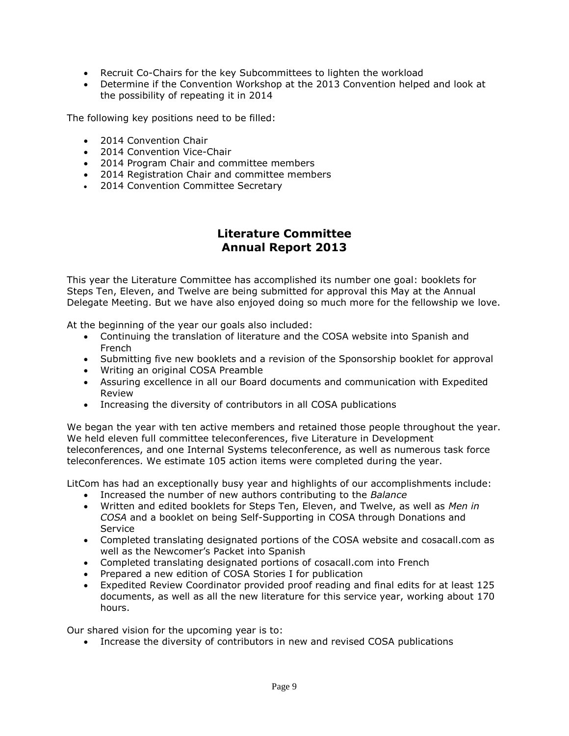- Recruit Co-Chairs for the key Subcommittees to lighten the workload
- Determine if the Convention Workshop at the 2013 Convention helped and look at the possibility of repeating it in 2014

The following key positions need to be filled:

- 2014 Convention Chair
- 2014 Convention Vice-Chair
- 2014 Program Chair and committee members
- 2014 Registration Chair and committee members
- 2014 Convention Committee Secretary

# **Literature Committee Annual Report 2013**

This year the Literature Committee has accomplished its number one goal: booklets for Steps Ten, Eleven, and Twelve are being submitted for approval this May at the Annual Delegate Meeting. But we have also enjoyed doing so much more for the fellowship we love.

At the beginning of the year our goals also included:

- Continuing the translation of literature and the COSA website into Spanish and French
- Submitting five new booklets and a revision of the Sponsorship booklet for approval
- Writing an original COSA Preamble
- Assuring excellence in all our Board documents and communication with Expedited Review
- Increasing the diversity of contributors in all COSA publications

We began the year with ten active members and retained those people throughout the year. We held eleven full committee teleconferences, five Literature in Development teleconferences, and one Internal Systems teleconference, as well as numerous task force teleconferences. We estimate 105 action items were completed during the year.

LitCom has had an exceptionally busy year and highlights of our accomplishments include:

- Increased the number of new authors contributing to the *Balance*
- Written and edited booklets for Steps Ten, Eleven, and Twelve, as well as *Men in COSA* and a booklet on being Self-Supporting in COSA through Donations and **Service**
- Completed translating designated portions of the COSA website and cosacall.com as well as the Newcomer's Packet into Spanish
- Completed translating designated portions of cosacall.com into French
- Prepared a new edition of COSA Stories I for publication
- Expedited Review Coordinator provided proof reading and final edits for at least 125 documents, as well as all the new literature for this service year, working about 170 hours.

Our shared vision for the upcoming year is to:

Increase the diversity of contributors in new and revised COSA publications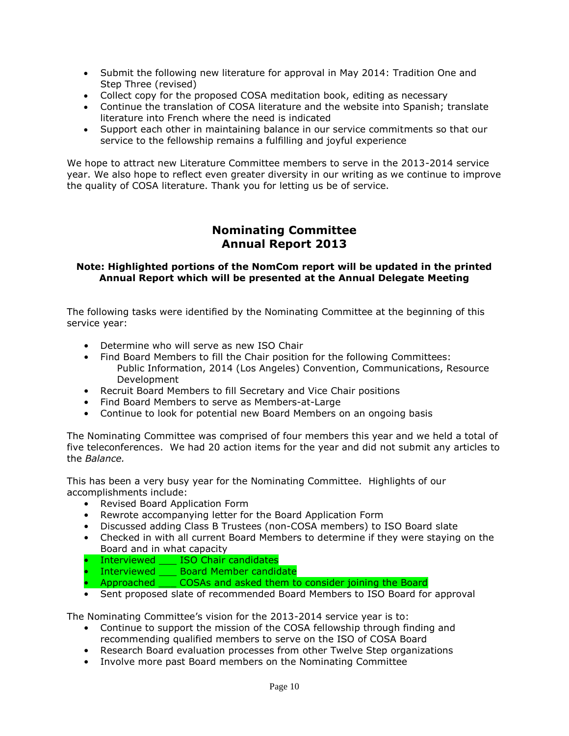- Submit the following new literature for approval in May 2014: Tradition One and Step Three (revised)
- Collect copy for the proposed COSA meditation book, editing as necessary
- Continue the translation of COSA literature and the website into Spanish; translate literature into French where the need is indicated
- Support each other in maintaining balance in our service commitments so that our service to the fellowship remains a fulfilling and joyful experience

We hope to attract new Literature Committee members to serve in the 2013-2014 service year. We also hope to reflect even greater diversity in our writing as we continue to improve the quality of COSA literature. Thank you for letting us be of service.

# **Nominating Committee Annual Report 2013**

#### **Note: Highlighted portions of the NomCom report will be updated in the printed Annual Report which will be presented at the Annual Delegate Meeting**

The following tasks were identified by the Nominating Committee at the beginning of this service year:

- Determine who will serve as new ISO Chair
- Find Board Members to fill the Chair position for the following Committees: Public Information, 2014 (Los Angeles) Convention, Communications, Resource Development
- Recruit Board Members to fill Secretary and Vice Chair positions
- Find Board Members to serve as Members-at-Large
- Continue to look for potential new Board Members on an ongoing basis

The Nominating Committee was comprised of four members this year and we held a total of five teleconferences. We had 20 action items for the year and did not submit any articles to the *Balance.*

This has been a very busy year for the Nominating Committee. Highlights of our accomplishments include:

- Revised Board Application Form
- Rewrote accompanying letter for the Board Application Form
- Discussed adding Class B Trustees (non-COSA members) to ISO Board slate
- Checked in with all current Board Members to determine if they were staying on the Board and in what capacity
- Interviewed \_\_\_ ISO Chair candidates
- Interviewed \_\_\_ Board Member candidate
- Approached COSAs and asked them to consider joining the Board
- Sent proposed slate of recommended Board Members to ISO Board for approval

The Nominating Committee's vision for the 2013-2014 service year is to:

- Continue to support the mission of the COSA fellowship through finding and recommending qualified members to serve on the ISO of COSA Board
- Research Board evaluation processes from other Twelve Step organizations
- Involve more past Board members on the Nominating Committee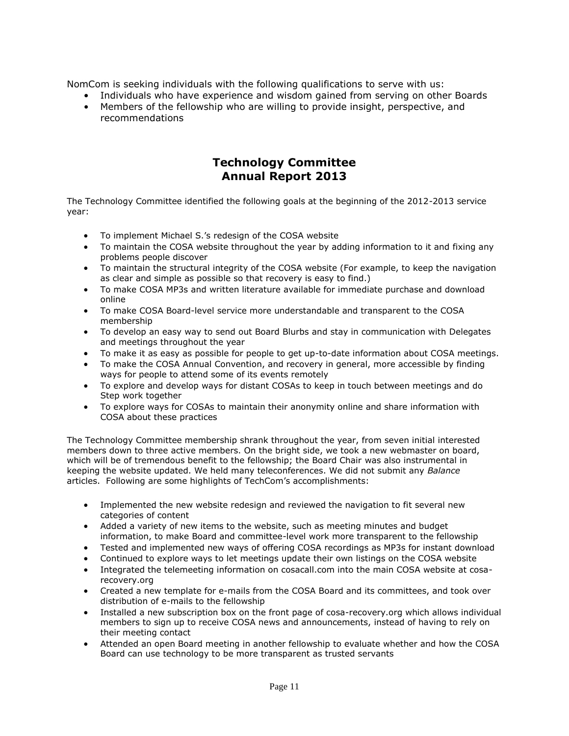NomCom is seeking individuals with the following qualifications to serve with us:

- Individuals who have experience and wisdom gained from serving on other Boards
- Members of the fellowship who are willing to provide insight, perspective, and recommendations

## **Technology Committee Annual Report 2013**

The Technology Committee identified the following goals at the beginning of the 2012-2013 service year:

- To implement Michael S.'s redesign of the COSA website
- To maintain the COSA website throughout the year by adding information to it and fixing any problems people discover
- To maintain the structural integrity of the COSA website (For example, to keep the navigation as clear and simple as possible so that recovery is easy to find.)
- To make COSA MP3s and written literature available for immediate purchase and download online
- To make COSA Board-level service more understandable and transparent to the COSA membership
- To develop an easy way to send out Board Blurbs and stay in communication with Delegates and meetings throughout the year
- To make it as easy as possible for people to get up-to-date information about COSA meetings.
- To make the COSA Annual Convention, and recovery in general, more accessible by finding ways for people to attend some of its events remotely
- To explore and develop ways for distant COSAs to keep in touch between meetings and do Step work together
- To explore ways for COSAs to maintain their anonymity online and share information with COSA about these practices

The Technology Committee membership shrank throughout the year, from seven initial interested members down to three active members. On the bright side, we took a new webmaster on board, which will be of tremendous benefit to the fellowship; the Board Chair was also instrumental in keeping the website updated. We held many teleconferences. We did not submit any *Balance* articles. Following are some highlights of TechCom's accomplishments:

- Implemented the new website redesign and reviewed the navigation to fit several new categories of content
- Added a variety of new items to the website, such as meeting minutes and budget information, to make Board and committee-level work more transparent to the fellowship
- Tested and implemented new ways of offering COSA recordings as MP3s for instant download
- Continued to explore ways to let meetings update their own listings on the COSA website
- Integrated the telemeeting information on cosacall.com into the main COSA website at cosarecovery.org
- Created a new template for e-mails from the COSA Board and its committees, and took over distribution of e-mails to the fellowship
- Installed a new subscription box on the front page of cosa-recovery.org which allows individual members to sign up to receive COSA news and announcements, instead of having to rely on their meeting contact
- Attended an open Board meeting in another fellowship to evaluate whether and how the COSA Board can use technology to be more transparent as trusted servants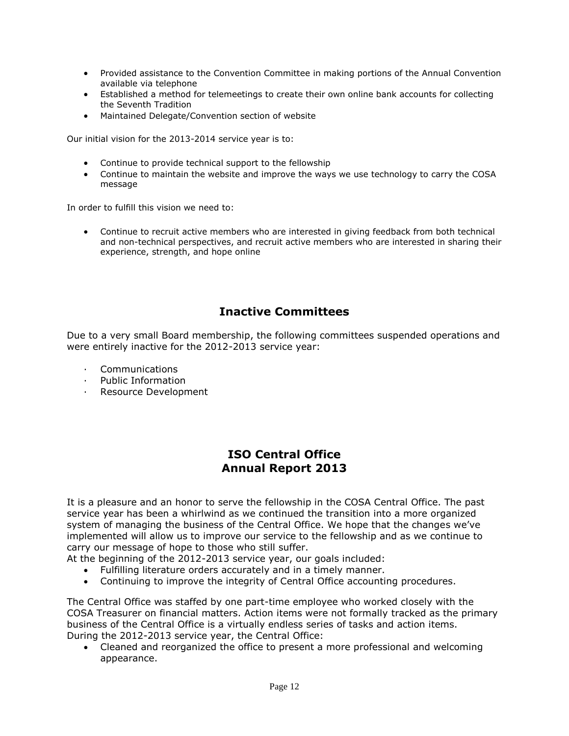- Provided assistance to the Convention Committee in making portions of the Annual Convention available via telephone
- Established a method for telemeetings to create their own online bank accounts for collecting the Seventh Tradition
- Maintained Delegate/Convention section of website

Our initial vision for the 2013-2014 service year is to:

- Continue to provide technical support to the fellowship
- Continue to maintain the website and improve the ways we use technology to carry the COSA message

In order to fulfill this vision we need to:

 Continue to recruit active members who are interested in giving feedback from both technical and non-technical perspectives, and recruit active members who are interested in sharing their experience, strength, and hope online

# **Inactive Committees**

Due to a very small Board membership, the following committees suspended operations and were entirely inactive for the 2012-2013 service year:

- · Communications
- · Public Information
- · Resource Development

# **ISO Central Office Annual Report 2013**

It is a pleasure and an honor to serve the fellowship in the COSA Central Office. The past service year has been a whirlwind as we continued the transition into a more organized system of managing the business of the Central Office. We hope that the changes we've implemented will allow us to improve our service to the fellowship and as we continue to carry our message of hope to those who still suffer.

At the beginning of the 2012-2013 service year, our goals included:

- Fulfilling literature orders accurately and in a timely manner.
- Continuing to improve the integrity of Central Office accounting procedures.

The Central Office was staffed by one part-time employee who worked closely with the COSA Treasurer on financial matters. Action items were not formally tracked as the primary business of the Central Office is a virtually endless series of tasks and action items. During the 2012-2013 service year, the Central Office:

 Cleaned and reorganized the office to present a more professional and welcoming appearance.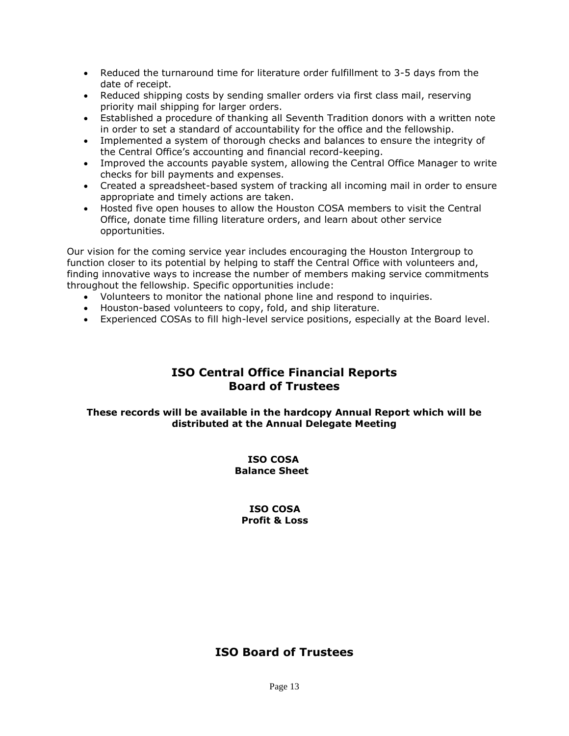- Reduced the turnaround time for literature order fulfillment to 3-5 days from the date of receipt.
- Reduced shipping costs by sending smaller orders via first class mail, reserving priority mail shipping for larger orders.
- Established a procedure of thanking all Seventh Tradition donors with a written note in order to set a standard of accountability for the office and the fellowship.
- Implemented a system of thorough checks and balances to ensure the integrity of the Central Office's accounting and financial record-keeping.
- Improved the accounts payable system, allowing the Central Office Manager to write checks for bill payments and expenses.
- Created a spreadsheet-based system of tracking all incoming mail in order to ensure appropriate and timely actions are taken.
- Hosted five open houses to allow the Houston COSA members to visit the Central Office, donate time filling literature orders, and learn about other service opportunities.

Our vision for the coming service year includes encouraging the Houston Intergroup to function closer to its potential by helping to staff the Central Office with volunteers and, finding innovative ways to increase the number of members making service commitments throughout the fellowship. Specific opportunities include:

- Volunteers to monitor the national phone line and respond to inquiries.
- Houston-based volunteers to copy, fold, and ship literature.
- Experienced COSAs to fill high-level service positions, especially at the Board level.

### **ISO Central Office Financial Reports Board of Trustees**

#### **These records will be available in the hardcopy Annual Report which will be distributed at the Annual Delegate Meeting**

#### **ISO COSA Balance Sheet**

#### **ISO COSA Profit & Loss**

## **ISO Board of Trustees**